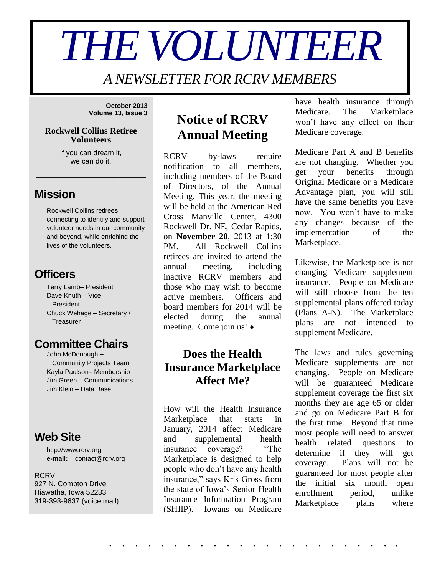# *THE VOLUNTEER*

*A NEWSLETTER FOR RCRV MEMBERS*

**October 2013 Volume 13, Issue 3**

#### **Rockwell Collins Retiree Volunteers**

If you can dream it, we can do it.

\_\_\_\_\_\_\_\_\_\_\_\_\_\_\_\_\_

## **Mission**

Rockwell Collins retirees connecting to identify and support volunteer needs in our community and beyond, while enriching the lives of the volunteers.

## **Officers**

Terry Lamb– President Dave Knuth – Vice President Chuck Wehage – Secretary / **Treasurer** 

## **Committee Chairs**

John McDonough – Community Projects Team Kayla Paulson– Membership Jim Green – Communications Jim Klein – Data Base

## **Web Site**

http://www.rcrv.org **e-mail:** contact@rcrv.org

#### **RCRV** 927 N. Compton Drive Hiawatha, Iowa 52233 319-393-9637 (voice mail)

# **Notice of RCRV Annual Meeting**

RCRV by-laws require notification to all members, including members of the Board of Directors, of the Annual Meeting. This year, the meeting will be held at the American Red Cross Manville Center, 4300 Rockwell Dr. NE, Cedar Rapids, on **November 20**, 2013 at 1:30 PM. All Rockwell Collins retirees are invited to attend the annual meeting, including inactive RCRV members and those who may wish to become active members. Officers and board members for 2014 will be elected during the annual meeting. Come join us! ♦

#### **Does the Health Insurance Marketplace Affect Me?**

How will the Health Insurance Marketplace that starts in January, 2014 affect Medicare and supplemental health insurance coverage? "The Marketplace is designed to help people who don't have any health insurance," says Kris Gross from the state of Iowa's Senior Health Insurance Information Program (SHIIP). Iowans on Medicare have health insurance through Medicare. The Marketplace won't have any effect on their Medicare coverage.

Medicare Part A and B benefits are not changing. Whether you get your benefits through Original Medicare or a Medicare Advantage plan, you will still have the same benefits you have now. You won't have to make any changes because of the implementation of the Marketplace.

Likewise, the Marketplace is not changing Medicare supplement insurance. People on Medicare will still choose from the ten supplemental plans offered today (Plans A-N). The Marketplace plans are not intended to supplement Medicare.

The laws and rules governing Medicare supplements are not changing. People on Medicare will be guaranteed Medicare supplement coverage the first six months they are age 65 or older and go on Medicare Part B for the first time. Beyond that time most people will need to answer health related questions to determine if they will get coverage. Plans will not be guaranteed for most people after the initial six month open enrollment period, unlike Marketplace plans where

. . . . . . . . . . . . . . . . . . . . . . .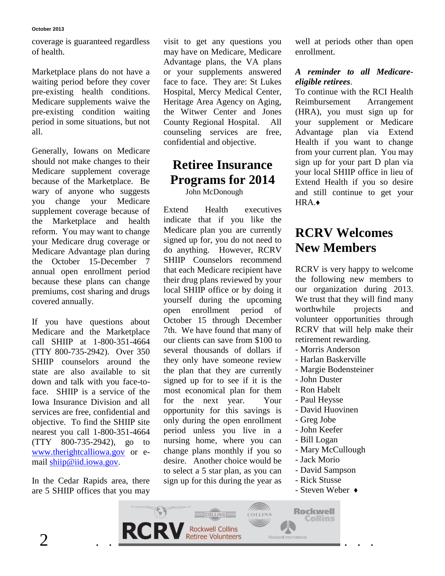coverage is guaranteed regardless of health.

Marketplace plans do not have a waiting period before they cover pre-existing health conditions. Medicare supplements waive the pre-existing condition waiting period in some situations, but not all.

Generally, Iowans on Medicare should not make changes to their Medicare supplement coverage because of the Marketplace. Be wary of anyone who suggests you change your Medicare supplement coverage because of the Marketplace and health reform. You may want to change your Medicare drug coverage or Medicare Advantage plan during the October 15-December 7 annual open enrollment period because these plans can change premiums, cost sharing and drugs covered annually.

If you have questions about Medicare and the Marketplace call SHIIP at 1-800-351-4664 (TTY 800-735-2942). Over 350 SHIIP counselors around the state are also available to sit down and talk with you face-toface. SHIIP is a service of the Iowa Insurance Division and all services are free, confidential and objective. To find the SHIIP site nearest you call 1-800-351-4664 (TTY 800-735-2942), go to [www.therightcalliowa.gov](http://www.therightcalliowa.gov/) or email [shiip@iid.iowa.gov.](mailto:shiip@iid.iowa.gov)

In the Cedar Rapids area, there are 5 SHIIP offices that you may

visit to get any questions you may have on Medicare, Medicare Advantage plans, the VA plans or your supplements answered face to face. They are: St Lukes Hospital, Mercy Medical Center, Heritage Area Agency on Aging, the Witwer Center and Jones County Regional Hospital. All counseling services are free, confidential and objective.

#### **Retiree Insurance Programs for 2014** John McDonough

Extend Health executives indicate that if you like the Medicare plan you are currently signed up for, you do not need to do anything. However, RCRV SHIIP Counselors recommend that each Medicare recipient have their drug plans reviewed by your local SHIIP office or by doing it yourself during the upcoming open enrollment period of October 15 through December 7th. We have found that many of our clients can save from \$100 to several thousands of dollars if they only have someone review the plan that they are currently signed up for to see if it is the most economical plan for them for the next year. Your opportunity for this savings is only during the open enrollment period unless you live in a nursing home, where you can change plans monthly if you so desire. Another choice would be to select a 5 star plan, as you can sign up for this during the year as

well at periods other than open enrollment.

#### *A reminder to all Medicareeligible retirees*.

To continue with the RCI Health Reimbursement Arrangement (HRA), you must sign up for your supplement or Medicare Advantage plan via Extend Health if you want to change from your current plan. You may sign up for your part D plan via your local SHIIP office in lieu of Extend Health if you so desire and still continue to get your HRA.♦

# **RCRV Welcomes New Members**

RCRV is very happy to welcome the following new members to our organization during 2013. We trust that they will find many worthwhile projects and volunteer opportunities through RCRV that will help make their retirement rewarding.

- Morris Anderson
- Harlan Baskerville
- Margie Bodensteiner
- John Duster
- Ron Habelt
- Paul Heysse
- David Huovinen
- Greg Jobe
- John Keefer
- Bill Logan
- Mary McCullough
- Jack Morio
- David Sampson
- Rick Stusse
- Steven Weber ♦

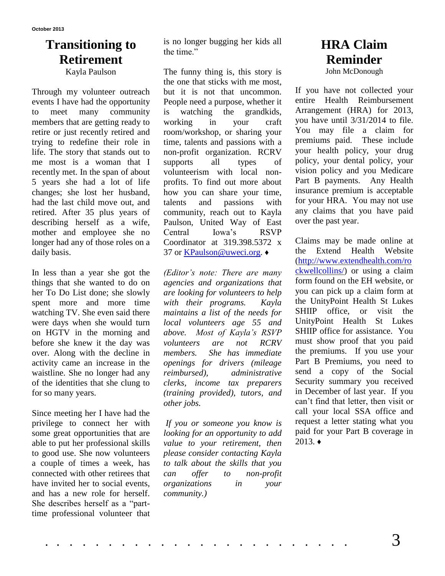## **Transitioning to Retirement**

Kayla Paulson

Through my volunteer outreach events I have had the opportunity to meet many community members that are getting ready to retire or just recently retired and trying to redefine their role in life. The story that stands out to me most is a woman that I recently met. In the span of about 5 years she had a lot of life changes; she lost her husband, had the last child move out, and retired. After 35 plus years of describing herself as a wife, mother and employee she no longer had any of those roles on a daily basis.

In less than a year she got the things that she wanted to do on her To Do List done; she slowly spent more and more time watching TV. She even said there were days when she would turn on HGTV in the morning and before she knew it the day was over. Along with the decline in activity came an increase in the waistline. She no longer had any of the identities that she clung to for so many years.

Since meeting her I have had the privilege to connect her with some great opportunities that are able to put her professional skills to good use. She now volunteers a couple of times a week, has connected with other retirees that have invited her to social events, and has a new role for herself. She describes herself as a "parttime professional volunteer that is no longer bugging her kids all the time."

The funny thing is, this story is the one that sticks with me most, but it is not that uncommon. People need a purpose, whether it is watching the grandkids, working in your craft room/workshop, or sharing your time, talents and passions with a non-profit organization. RCRV supports all types of volunteerism with local nonprofits. To find out more about how you can share your time, talents and passions with community, reach out to Kayla Paulson, United Way of East Central Iowa's RSVP Coordinator at 319.398.5372 x 37 or [KPaulson@uweci.org.](mailto:KPaulson@uweci.org) ♦

*(Editor's note: There are many agencies and organizations that are looking for volunteers to help with their programs. Kayla maintains a list of the needs for local volunteers age 55 and above. Most of Kayla's RSVP volunteers are not RCRV members. She has immediate openings for drivers (mileage reimbursed), administrative clerks, income tax preparers (training provided), tutors, and other jobs.* 

*If you or someone you know is looking for an opportunity to add value to your retirement, then please consider contacting Kayla to talk about the skills that you can offer to non-profit organizations in your community.)*

# **HRA Claim Reminder**

John McDonough

If you have not collected your entire Health Reimbursement Arrangement (HRA) for 2013, you have until 3/31/2014 to file. You may file a claim for premiums paid. These include your health policy, your drug policy, your dental policy, your vision policy and you Medicare Part B payments. Any Health insurance premium is acceptable for your HRA. You may not use any claims that you have paid over the past year.

Claims may be made online at the Extend Health Website [\(http://www.extendhealth.com/ro](http://www.extendhealth.com/rockwellcollins/) [ckwellcollins/\)](http://www.extendhealth.com/rockwellcollins/) or using a claim form found on the EH website, or you can pick up a claim form at the UnityPoint Health St Lukes SHIIP office, or visit the UnityPoint Health St Lukes SHIIP office for assistance. You must show proof that you paid the premiums. If you use your Part B Premiums, you need to send a copy of the Social Security summary you received in December of last year. If you can't find that letter, then visit or call your local SSA office and request a letter stating what you paid for your Part B coverage in  $2013.$   $\triangleleft$